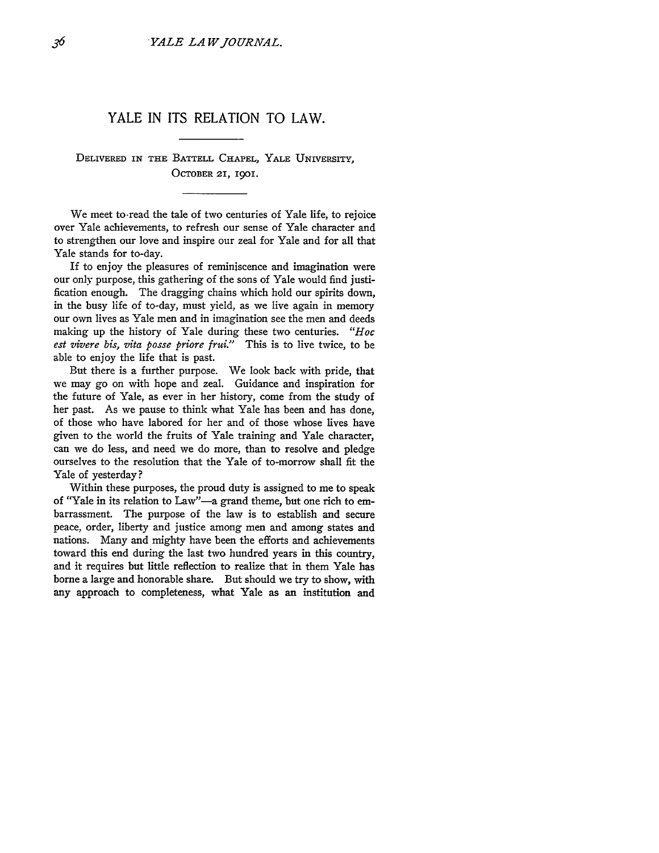## YALE **IN ITS** RELATION TO LAW.

## DELIVERED IN **THE** BATTELL **CHAPEL,** YALE UNIVERSITY, OCTOBER 21, **1901.**

We meet to-read the tale of two centuries of Yale life, to rejoice over Yale achievements, to refresh our sense of Yale character and to strengthen our love and inspire our zeal for Yale and for all that Yale stands for to-day.

If to enjoy the pleasures of reminiscence and imagination were our only purpose, this gathering of the sons of Yale would find justification enough. The dragging chains which hold our spirits down, in the busy life of to-day, must yield, as we live again in memory our own lives as Yale men and in imagination see the men and deeds making up the history of Yale during these two centuries. *"Hoc est vivere bis, vita posse priore frui."* This is to live twice, to be able to enjoy the life that is past.

But there is a further purpose. We look back with pride, that we may go on with hope and zeal. Guidance and inspiration for the future of Yale, as ever in her history, come from the study of her past. As we pause to think what Yale has been and has done, of those who have labored for her and of those whose lives have given to the world the fruits of Yale training and Yale character, can we do less, and need we do more, than to resolve and pledge ourselves to the resolution that the Yale of to-morrow shall fit the Yale of yesterday?

Within these purposes, the proud duty is assigned to me to speak of "Yale in its relation to Law"-a grand theme, but one rich to embarrassment. The purpose of the law is to establish and secure peace, order, liberty and justice among men and among states and nations. Many and mighty have been the efforts and achievements toward this end during the last two hundred years in this country, and it requires but little reflection to realize that in them Yale has borne a large and honorable share. But should we try to show, with any approach to completeness, what Yale as an institution and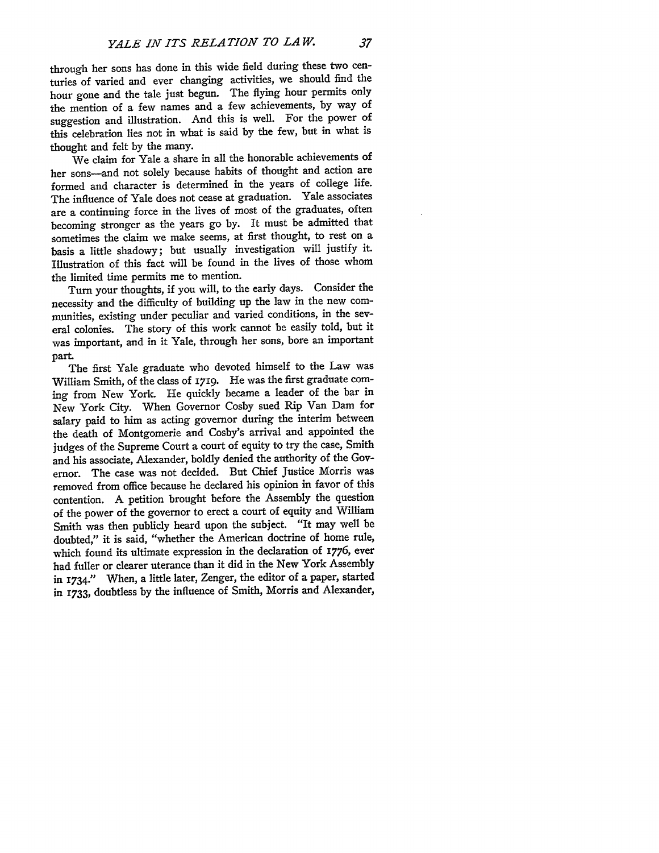through her sons has done in this wide field during these two centuries of varied and ever changing activities, we should find the hour gone and the tale just begun. The flying hour permits only the mention of a few names and a few achievements, by way of suggestion and illustration. And this is well. For the power of this celebration lies not in what is said by the few, but in what is thought and felt by the many.

We claim for Yale a share in all the honorable achievements of her sons-and not solely because habits of thought and action are formed and character is determined in the years of college life. The influence of Yale does not cease at graduation. Yale associates are a continuing force in the lives of most of the graduates, often becoming stronger as the years go by. It must be admitted that sometimes the claim we make seems, at first thought, to rest on a basis a little shadowy; but usually investigation will justify it. Illustration of this fact will be found in the lives of those whom the limited time permits me to mention.

Turn your thoughts, if you will, to the early days. Consider the necessity and the difficulty of building up the law in the new communities, existing under peculiar and varied conditions, in the several colonies. The story of this work cannot be easily told, but it was important, and in it Yale, through her sons, bore an important part.

The first Yale graduate who devoted himself to the Law was William Smith, of the class of 1719. He was the first graduate coming from New York. He quickly became a leader of the bar in New York City. When Governor Cosby sued Rip Van Dam for salary paid to him as acting governor during the interim between the death of Montgomerie and Cosby's arrival and appointed the judges of the Supreme Court a court of equity to try the case, Smith and his associate, Alexander, boldly denied the authority of the Governor. The case was not decided. But Chief Justice Morris was removed from office because he declared his opinion in favor of this contention. A petition brought before the Assembly the question of the power of the governor to erect a court of equity and William Smith was then publicly heard upon the subject. "It may well be doubted," it is said, "whether the American doctrine of home rule, which found its ultimate expression in the declaration of 1776, ever had fuller or clearer uterance than it did in the New York Assembly in 1734." When, a little later, Zenger, the editor of a paper, started in **1733,** doubtless by the influence of Smith, Morris and Alexander,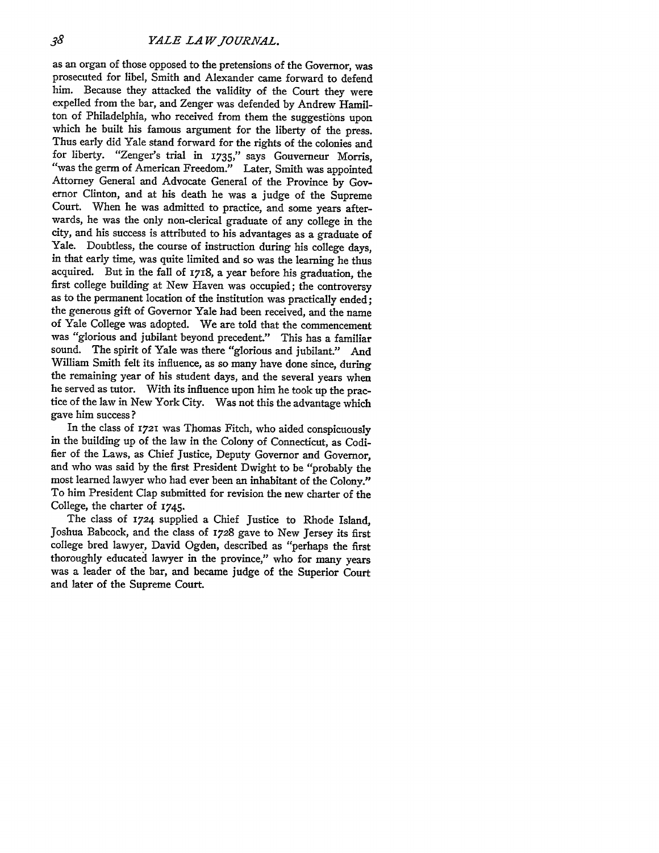as an organ of those opposed to the pretensions of the Governor, was prosecuted for libel, Smith and Alexander came forward to defend him. Because they attacked the validity of the Court they were expelled from the bar, and Zenger was defended by Andrew Hamilton of Philadelphia, who received from them the suggestions upon which he built his famous argument for the liberty of the press. Thus early did Yale stand forward for the rights of the colonies and for liberty. "Zenger's trial in 1735," says Gouverneur Morris, "was the germ of American Freedom." Later, Smith was appointed Attorney General and Advocate General of the Province by Governor Clinton, and at his death he was a judge of the Supreme Court. When he was admitted to practice, and some years afterwards, he was the only non-clerical graduate of any college in the city, and his success is attributed to his advantages as a graduate of Yale. Doubtless, the course of instruction during his college days, in that early time, was quite limited and so was the learning he thus acquired. But in the fall of 1718, a year before his graduation, the first college building at New Haven was occupied; the controversy as to the permanent location of the institution was practically ended; the generous gift of Governor Yale had been received, and the name of Yale College was adopted. We are told that the commencement was "glorious and jubilant beyond precedent." This has a familiar sound. The spirit of Yale was there "glorious and jubilant." And William Smith felt its influence, as so many have done since, during the remaining year of his student days, and the several years when he served as tutor. With its influence upon him he took up the practice of the law in New York City. Was not this the advantage which gave him success?

In the class of 1721 was Thomas Fitch, who aided conspicuously in the building up of the law in the Colony of Connecticut, as Codifier of the Laws, as Chief Justice, Deputy Governor and Governor, and who was said by the first President Dwight to be "probably the most learned lawyer who had ever been an inhabitant of the Colony." To him President Clap submitted for revision the new charter of the College, the charter of 1745.

The class of 1724 supplied a Chief Justice to Rhode Island, Joshua Babcock, and the class of 1728 gave to New Jersey its first college bred lawyer, David Ogden, described as "perhaps the first thoroughly educated lawyer in the province," who for many years was a leader of the bar, and became judge of the Superior Court and later of the Supreme Court.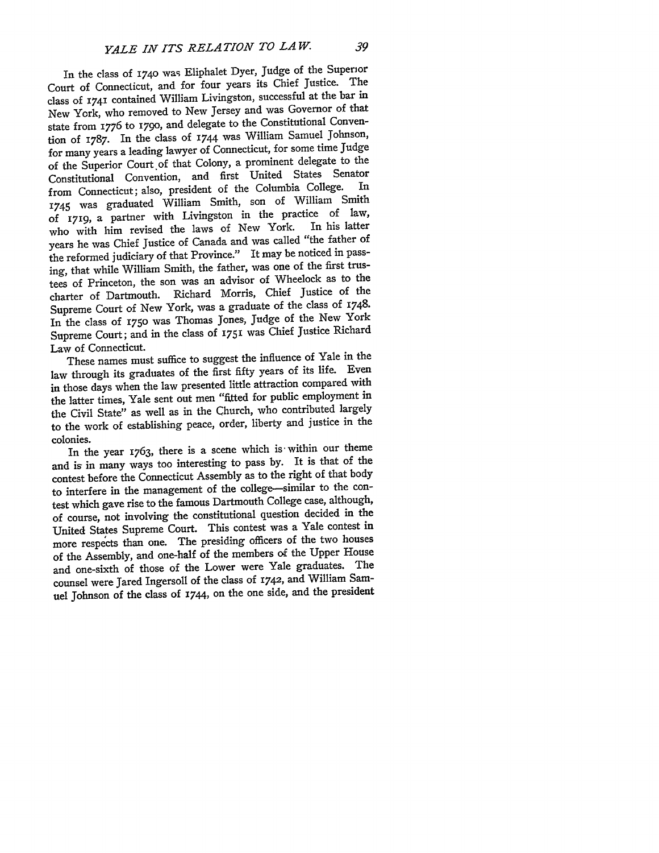In the class of i74o was Eliphalet Dyer, Judge of the Superior Court of Connecticut, and for four years its Chief Justice. The class of **1741** contained William Livingston, successful at the bar in New York, who removed to New Jersey and was Governor of that state from *I776* to 179o, and delegate to the Constitutional Convention of 1787. In the class of i744 was William Samuel Johnson, for many years a leading lawyer of Connecticut, for some time Judge of the Superior Court of that Colony, a prominent delegate to the Constitutional Convention, and first United States Senator from Connecticut; also, president of the Columbia College. 1745 was graduated William Smith, son of William Smith of 1719, a partner with Livingston in the practice of law, who with him revised the laws of New York. years he was Chief Justice of Canada and was called "the father of the reformed judiciary of that Province." It may be noticed in passing, that while William Smith, the father, was one of the first trustees of Princeton, the son was an advisor of Wheelock as to the charter of Dartmouth. Richard Morris, Chief Justice of the Supreme Court of New York, was a graduate of the class of 1748. In the class of **1750** was Thomas Jones, Judge of the New York Supreme Court; and in the class of 1751 was Chief Justice Richard Law of Connecticut.

These names must suffice to suggest the influence of Yale in the law through its graduates of the first fifty years of its life. Even in those days when the law presented little attraction compared with the latter times, Yale sent out men "fitted for public employment in the Civil State" as well as in the Church, who contributed largely to the work of establishing peace, order, liberty and justice in the colonies.

In the year 1763, there is a scene which is within our theme and is in many ways too interesting to pass by. It is that of the contest before the Connecticut Assembly as to the right of that body to interfere in the management of the college-similar to the contest which gave rise to the famous Dartmouth College case, although, of course, not involving the constitutional question decided in the United States Supreme Court. This contest was a Yale contest in more respects than one. The presiding officers of the two houses of the Assembly, and one-half of the members of the Upper House and one-sixth of those of the Lower were Yale graduates. The counsel were Jared Ingersoll of the class of 1742, and William Samuel Johnson of the class of x744, on the one side, and the president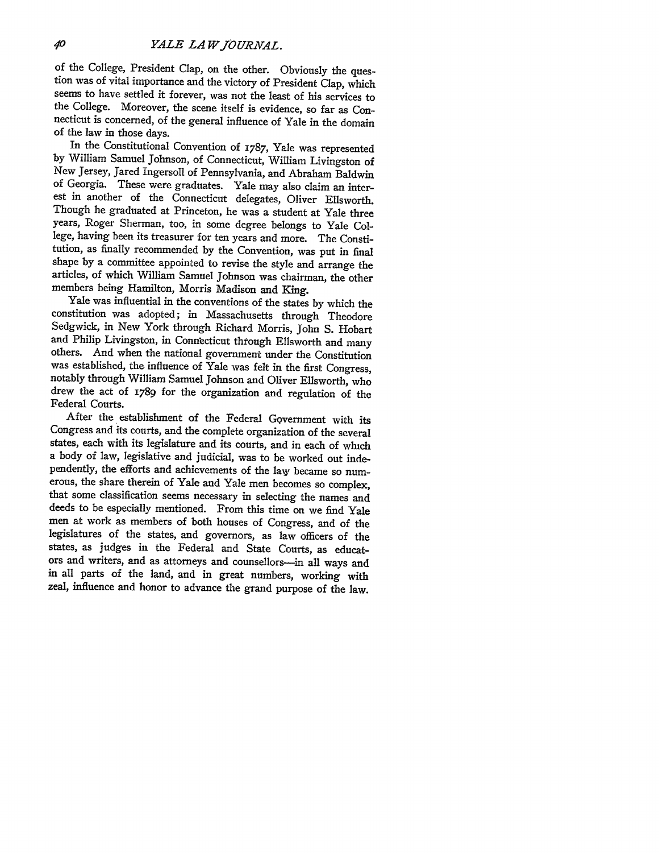of the College, President Clap, on the other. Obviously the ques- tion was of vital importance and the victory of President Clap, which seems to have settled it forever, was not the least of his services to the College. Moreover, the scene itself is evidence, so far as Connecticut is concerned, of the general influence of Yale in the domain of the law in those days.

In the Constitutional Convention of 1787, Yale was represented by William Samuel Johnson, of Connecticut, William Livingston of New Jersey, Jared Ingersoll of Pennsylvania, and Abraham Baldwin of Georgia. These were graduates. Yale may also claim an interest in another of the Connecticut delegates, Oliver Ellsworth. Though he graduated at Princeton, he was a student at Yale three years, Roger Sherman, too, in some degree belongs to Yale College, having been its treasurer for ten years and more. The Constitution, as finally recommended by the Convention, was put in final shape by a committee appointed to revise the style and arrange the articles, of which William Samuel Johnson was chairman, the other members being Hamilton, Morris Madison and King.

Yale was influential in the conventions of the states by which the constitution was adopted; in Massachusetts through Theodore Sedgwick, in New York through Richard Morris, John S. Hobart and Philip Livingston, in Connecticut through Ellsworth and many others. And when the national government under the Constitution was established, the influence of Yale was felt in the first Congress, notably through William Samuel Johnson and Oliver Ellsworth, who drew the act of **1789** for the organization and regulation of the Federal Courts.

After the establishment of the Federal Government with its Congress and its courts, and the complete organization of the several states, each with its legislature and its courts, and in each of which a body of law, legislative and judicial, was to be worked out independently, the efforts and achievements of the law became so numerous, the share therein of Yale and Yale men becomes so complex, that some classification seems necessary in selecting the names and deeds to be especially mentioned. From this time on we find Yale men at work as members of both houses of Congress, and of the legislatures of the states, and governors, as law officers of the states, as judges in the Federal and State Courts, as educators and writers, and as attorneys and counsellors-in all ways and in all parts of the land, and in great numbers, working with zeal, influence and honor to advance the grand purpose of the law.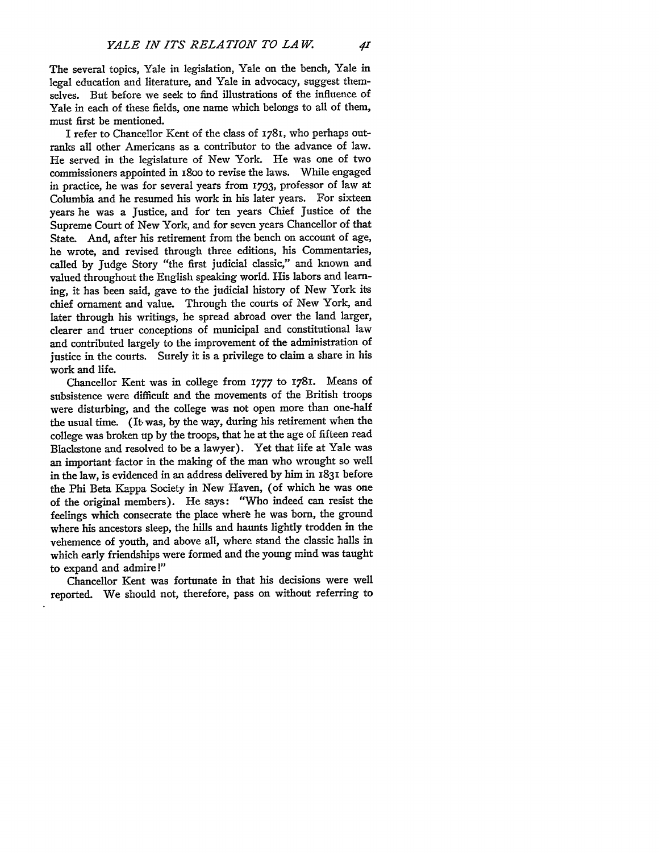$4I$ 

The several topics, Yale in legislation, Yale on the bench, Yale in legal education and literature, and Yale in advocacy, suggest themselves. But before we seek to find illustrations of the influence of Yale in each of these fields, one name which belongs to all of them, must first be mentioned.

I refer to Chancellor Kent of the class of **1781,** who perhaps outranks all other Americans as a contributor to the advance of law. He served in the legislature of New York. He was one of two commissioners appointed in i8oo to revise the laws. While engaged in practice, he was for several years from **1793,** professor of law at Columbia and he resumed his work in his later years. For sixteen years he was a Justice, and for ten years Chief Justice of the Supreme Court of New York, and for seven years Chancellor of that State. And, after his retirement from the bench on account of age, he wrote, and revised through three editions, his Commentaries, called **by** Judge Story "the first judicial classic," and known and valued throughout the English speaking world. His labors and learning, it has been said, gave to the judicial history of New York its chief ornament and value. Through the courts of New York, and later through his writings, he spread abroad over the land larger, clearer and truer conceptions of municipal and constitutional law and contributed largely to the improvement of the administration of justice in the courts. Surely it is a privilege to claim a share in his work and life.

Chancellor Kent was in college from **1777** to **1781.** Means of subsistence were difficult and the movements of the British troops were disturbing, and the college was not open more than one-half the usual time. (It- was, **by** the way, during his retirement when the college was broken up **by** the troops, that he at the age of fifteen read Blackstone and resolved to be a lawyer). Yet that life at Yale was an important factor in the making of the man who wrought so well in the law, is evidenced in an address delivered **by** him in **1831** before the Phi Beta Kappa Society in New Haven, (of which he was one of the original members). He says: "Who indeed can resist the feelings which consecrate the place where he was born, the ground where his ancestors sleep, the hills and haunts lightly trodden in the vehemence of youth, and above all, where stand the classic halls in which early friendships were formed and the young mind was taught to expand and admire **!"**

Chancellor Kent was fortunate in that his decisions were well reported. We should not, therefore, pass on without referring to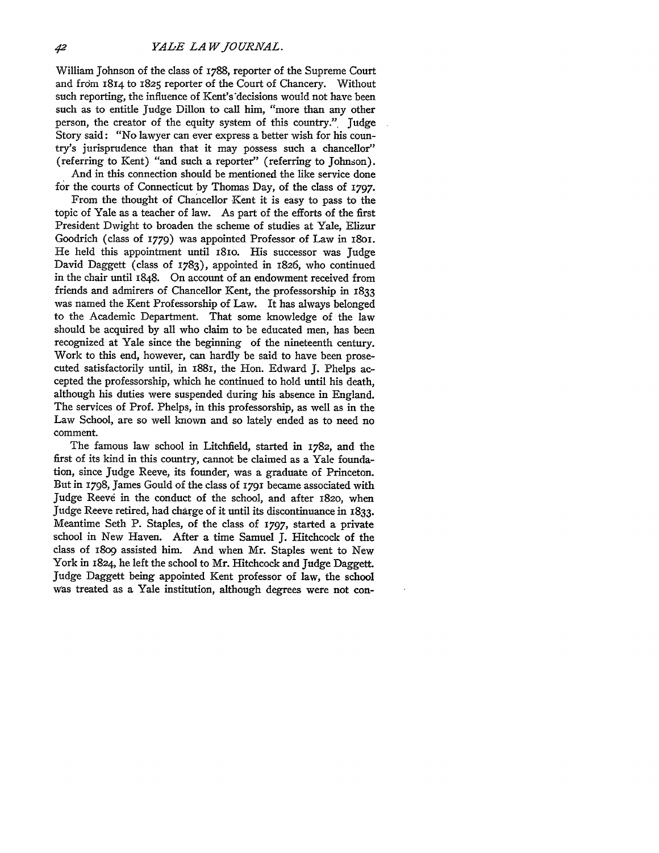William Johnson of the class of 1788, reporter of the Supreme Court and from **1814** to 1825 reporter of the Court of Chancery. Without such reporting, the influence of Kent's "decisions would not have been such as to entitle Judge Dillon to call him, "more than any other person, the creator of the equity system of this country." Judge Story said: "No lawyer can ever express a better wish for his country's jurisprudence than that it may possess such a chancellor" (referring to Kent) "and such a reporter" (referring to Johnson).

And in this connection should be mentioned the like service done for the courts of Connecticut by Thomas Day, of the class of **1797.**

From the thought of Chancellor Kent it is easy to pass to the topic of Yale as a teacher of law. As part of the efforts of the first President Dwight to broaden the scheme of studies at Yale, Elizur Goodrich (class of *i779)* was appointed Professor of Law in i8oi. He held this appointment until 1810. His successor was Judge David Daggett (class of 1783), appointed in 1826, who continued in the chair until 1848. On account of an endowment received from friends and admirers of Chancellor Kent, the professorship in 1833 was named the Kent Professorship of Law. It has always belonged to the Academic Department. That some knowledge of the law should be acquired by all who claim to be educated men, has been recognized at Yale since the beginning of the nineteenth century. Work to this end, however, can hardly be said to have been prosecuted satisfactorily until, in i881, the Hon. Edward J. Phelps accepted the professorship, which he continued to hold until his death, although his duties were suspended during his absence in England. The services of Prof. Phelps, in this professorship, as well as in the Law School, are so well known and so lately ended as to need no comment.

The famous law school in Litchfield, started in 1782, and the first of its kind in this country, cannot be claimed as a Yale foundation, since judge Reeve, its founder, was a graduate of Princeton. But in 1798, James Gould of the class of **179i** became associated with Judge Reeve in the conduct of the school, and after **1820,** when Judge Reeve retired, had charge of it until its discontinuance in 1833. Meantime Seth P. Staples, of the class of 1797, started a private school in New Haven. After a time Samuel J. Hitchcock of the class of i8o9 assisted him. And when Mr. Staples went to New York in 1824, he left the school to Mr. Hitchcock and Judge Daggett. Judge Daggett being appointed Kent professor of law, the school was treated as a Yale institution, although degrees were not con-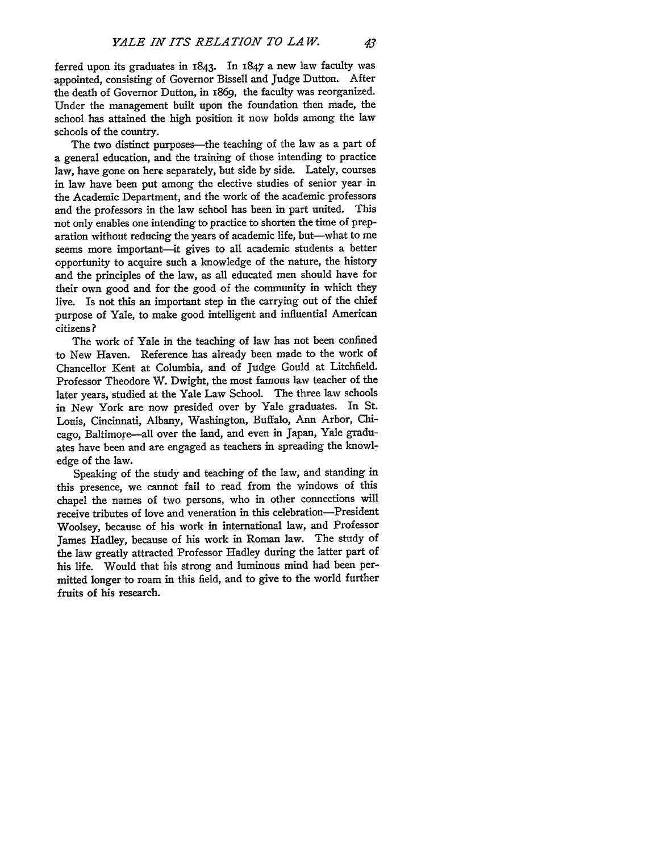ferred upon its graduates in **1843.** In 1847 a new law faculty was appointed, consisting of Governor Bissell and Judge Dutton. After the death of Governor Dutton, in 1869, the faculty was reorganized. Under the management built upon the foundation then made, the school has attained the high position it now holds among the law schools of the country.

The two distinct purposes—the teaching of the law as a part of a general education, and the training of those intending to practice law, have gone on here separately, but side by side. Lately, courses in law have been put among the elective studies of senior year in the Academic Department, and the work of the academic professors and the professors in the law school has been in part united. This not only enables one intending to practice to shorten the time of preparation without reducing the years of academic life, but—what to me seems more important-it gives to all academic students a better opportunity to acquire such a knowledge of the nature, the history and the principles of the law, as all educated men should have for their own good and for the good of the community in which they live. Is not this an important step in the carrying out of the chief purpose of Yale, to make good intelligent and influential American citizens *?*

The work of Yale in the teaching of law has not been confined to New Haven. Reference has already been made to the work of Chancellor Kent at Columbia, and of Judge Gould at Litchfield. Professor Theodore W. Dwight, the most famous law teacher of the later years, studied at the Yale Law School. The three law schools in New York are now presided over **by** Yale graduates. In St. Louis, Cincinnati, Albany, Washington, Buffalo, Ann Arbor, Chicago, Baltimore-all over the land, and even in Japan, Yale graduates have been and are engaged as teachers in spreading the knowledge of the law.

Speaking of the study and teaching of the law, and standing in this presence, we cannot fail to read from the windows of this chapel the names of two persons, who in other connections will receive tributes of love and veneration in this celebration-President Woolsey, because of his work in international law, and Professor James Hadley, because of his work in Roman law. The study of the law greatly attracted Professor Hadley during the latter part of his life. Would that his strong and luminous mind had been permitted longer to roam in this field, and to give to the world further fruits of his research.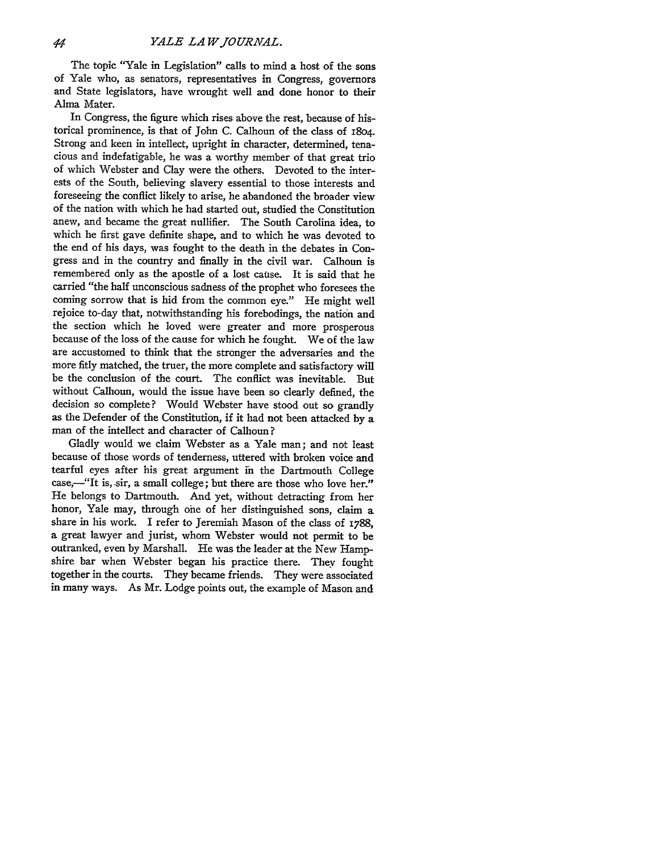The topic "Yale in Legislation" calls to mind a host of the sons of Yale who, as senators, representatives in Congress, governors and State legislators, have wrought well and done honor to their Alma Mater.

In Congress, the figure which rises above the rest, because of historical prominence, is that of John C. Calhoun of the class of i8o4. Strong and keen in intellect, upright in character, determined, tenacious and indefatigable, he was a worthy member of that great trio of which Webster and Clay were the others. Devoted to the interests of the South, believing slavery essential to those interests and foreseeing the conflict likely to arise, he abandoned the broader view of the nation with which he had started out, studied the Constitution anew, and became the great nullifier. The South Carolina idea, to which he first gave definite shape, and to which he was devoted to the end of his days, was fought to the death in the debates in Congress and in the country and finally in the civil war. Calhoun is remembered only as the apostle of a lost catse. It is said that he carried "the half unconscious sadness of the prophet who foresees the coming sorrow that is hid from the common eye." He might well rejoice to-day that, notwithstanding his forebodings, the nation and the section which he loved were greater and more prosperous because of the loss of the cause for which he fought. We of the law are accustomed to think that the stronger the adversaries and the more fitly matched, the truer, the more complete and satisfactory will be the conclusion of the court. The conflict was inevitable. But without Calhoun, would the issue have been so clearly defined, the decision so complete? Would Webster have stood out so grandly as the Defender of the Constitution, if it had not been attacked by a man of the intellect and character of Calhoun?

Gladly would we claim Webster as a Yale man; and not least because of those words of tenderness, uttered with broken voice and tearful eyes after his great argument in the Dartmouth College case,—"It is, sir, a small college; but there are those who love her." He belongs to Dartmouth. And yet, without detracting from her honor, Yale may, through one of her distinguished sons, claim a share in his work. I refer to Jeremiah Mason of the class of **1788,** a great lawyer and jurist, whom Webster would not permit to be outranked, even by Marshall. He was the leader at the New Hampshire bar when Webster began his practice there. They fought together in the courts. They became friends. They were associated in many ways. As Mr. Lodge points out, the example of Mason and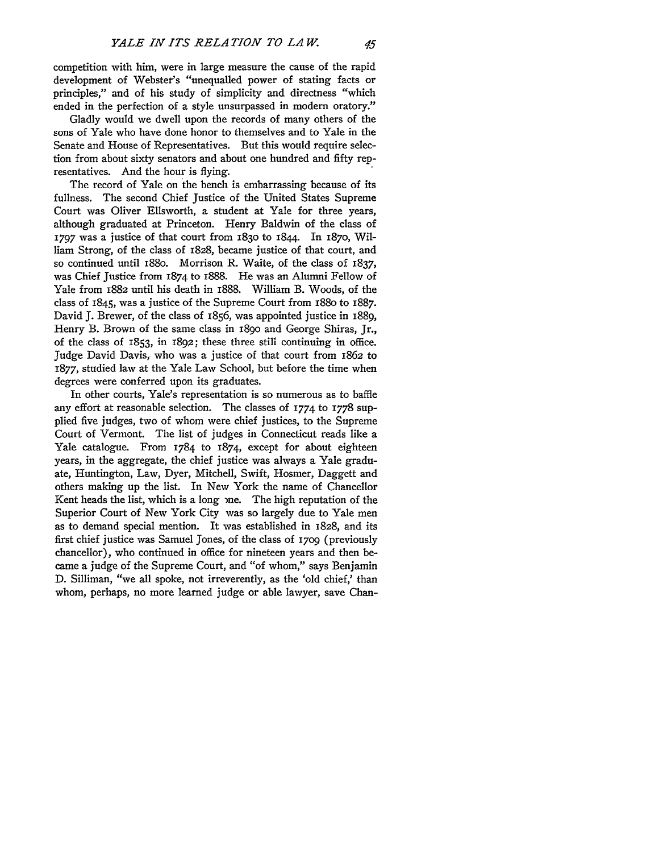competition with him, were in large measure the cause of the rapid development of Webster's "unequalled power of stating facts or principles," and of his study of simplicity and directness "which ended in the perfection of a style unsurpassed in modem oratory."

Gladly would we dwell upon the records of many others of the sons of Yale who have done honor to themselves and to Yale in the Senate and House of Representatives. But this would require selection from about sixty senators and about one hundred and fifty representatives. And the hour is flying.

The record of Yale on the bench is embarrassing because of its fullness. The second Chief Justice of the United States Supreme Court was Oliver Ellsworth, a student at Yale for three years, although graduated at Princeton. Henry Baldwin of the class of 1797 was a justice of that court from 1830 to 1844. In 187<sup>o</sup> , William Strong, of the class of 1828, became justice of that court, and so continued until i88o. Morrison R. Waite, of the class of 1837, was Chief Justice from 1874 to 1888. He was an Alumni Fellow of Yale from 1882 until his death in 1888. William B. Woods, of the class of 1845, was a justice of the Supreme Court from 188o to 1887. David J. Brewer, of the class of 1856, was appointed justice in 1889, Henry B. Brown of the same class in 189o and George Shiras, Jr., of the class of 1853, in 1892; these three still continuing in office. Judge David Davis, who was a justice of that court from 1862 to 1877, studied law at the Yale Law School, but before the time when degrees were conferred upon its graduates.

In other courts, Yale's representation is so numerous as to baffle any effort at reasonable selection. The classes of 1774 to 1778 supplied five judges, two of whom were chief justices, to the Supreme Court of Vermont. The list of judges in Connecticut reads like a Yale catalogue. From 1784 to 1874, except for about eighteen years, in the aggregate, the chief justice was always a Yale graduate, Huntington, Law, Dyer, Mitchell, Swift, Hosmer, Daggett and others making up the list. In New York the name of Chancellor Kent heads the list, which is a long me. The high reputation of the Superior Court of New York City was so largely due to Yale men as to demand special mention. It was established in 1828, and its first chief justice was Samuel Jones, of the class of *17o9* (previously chancellor), who continued in office for nineteen years and then became a judge of the Supreme Court, and "of whom," says Benjamin D. Silliman, "we all spoke, not irreverently, as the 'old chief,' than whom, perhaps, no more learned judge or able lawyer, save Chan-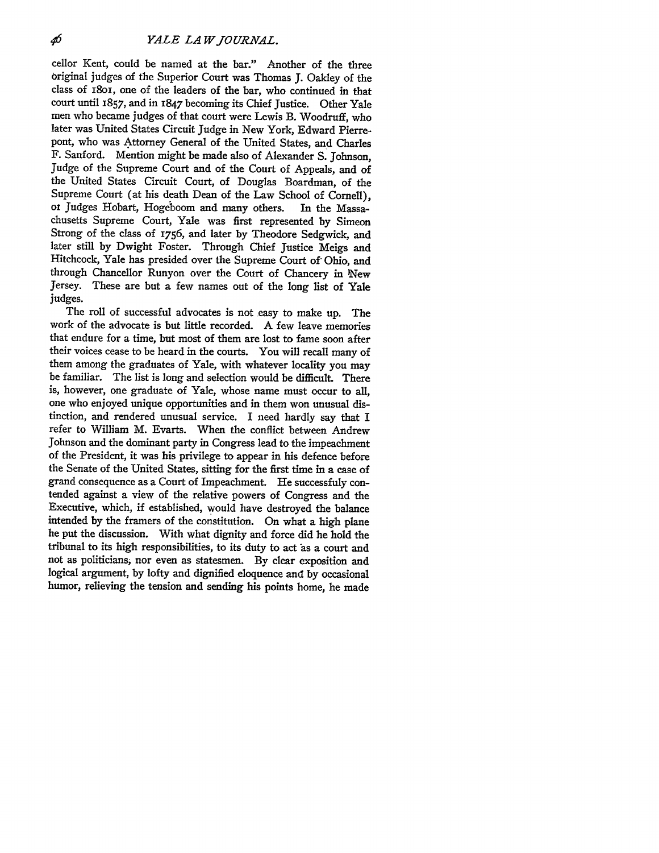cellor Kent, could be named at the bar." Another of the three original judges of the Superior Court was Thomas J. Oakley of the class of 1801, one of the leaders of the bar, who continued in that court until 1857, and in 1847 becoming its Chief Justice. Other Yale men who became judges of that court were Lewis B. Woodruff, who later was United States Circuit Judge in New York, Edward Pierrepont, who was Attorney General of the United States, and Charles F. Sanford. Mention might be made also of Alexander S. Johnson, Judge of the Supreme Court and of the Court of Appeals, and of the United States Circuit Court, of Douglas Boardman, of the Supreme Court (at his death Dean of the Law School of Cornell), of Judges Hobart, Hogeboom and many others. In the Massachusetts Supreme Court, Yale was first represented by Simeon Strong of the class of **1756,** and later by Theodore Sedgwick, and later still by Dwight Foster. Through Chief Justice Meigs and Hitchcock, Yale has presided over the Supreme Court of Ohio, and through Chancellor Runyon over the Court of Chancery in New Jersey. These are but a few names out of the long list of Yale judges.

The roll of successful advocates is not easy to make up. The work of the advocate is but little recorded. A few leave memories that endure for a time, but most of them are lost to fame soon after their voices cease to be heard in the courts. You will recall many of them among the graduates of Yale, with whatever locality you may be familiar. The list is long and selection would be difficult. There is, however, one graduate of Yale, whose name must occur to all, one who enjoyed unique opportunities and in them won unusual distinction, and rendered unusual service. I need hardly say that I refer to William M. Evarts. When the conflict between Andrew Johnson and the dominant party in Congress lead to the impeachment of the President, it was his privilege to appear in his defence before the Senate of the United States, sitting for the first time in a case of grand consequence as a Court of Impeachment. He successfuly contended against a view of the relative powers of Congress and the Executive, which, if established, would have destroyed the balance intended by the framers of the constitution. On what a high plane he put the discussion. With what dignity and force did he hold the tribunal to its high responsibilities, to its duty to act as a court and not as politicians, nor even as statesmen. By clear exposition and logical argument, by lofty and dignified eloquence and by occasional humor, relieving the tension and sending his points home, he made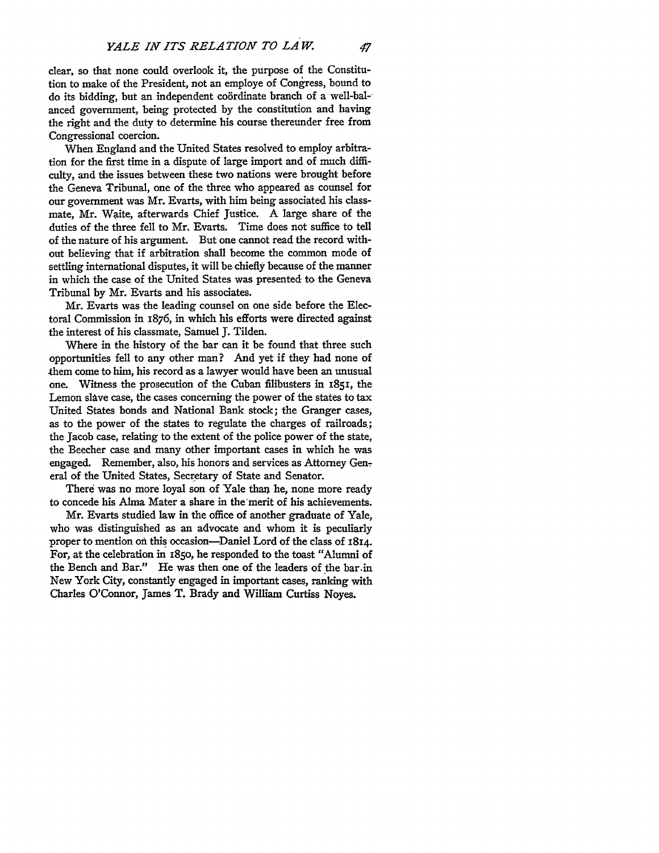clear, so that none could overlook it, the purpose of the Constitution to make of the President, not an employe of Congress, bound to do its bidding, but an independent coördinate branch of a well-balanced government, being protected by the constitution and having the right and the duty to determine his course thereunder free from Congressional coercion.

When England and the United States resolved to employ arbitration for the first time in a dispute of large import and of much difficulty, and the issues between these two nations were brought before the Geneva Tribunal, one of the three who appeared as counsel for our government was Mr. Evarts, with him being associated his classmate, Mr. Waite, afterwards Chief Justice. **A** large share of the duties of the three fell to Mr. Evarts. Time does not suffice to tell of the nature of his argument. But one cannot read the record without believing that if arbitration shall become the common mode of settling international disputes, it will be chiefly because of the manner in which the case of the United States was presented to the Geneva Tribunal **by** Mr. Evarts and his associates.

Mr. Evarts was the leading counsel on one side before the Electoral Commission in 1876, in which his efforts were directed against the interest of his classmate, Samuel **J.** Tilden.

Where in the history of the bar can it be found that three such opportunities fell to any other man? And yet if they had none of them come to him, his record as a lawyer would have been an unusual one. Witness the prosecution of the Cuban filibusters in 1851, the Lemon slakve case, the cases concerning the power of the states to tax United States bonds and National Bank stock; the Granger cases, as to the power of the states to regulate the charges of railroads.; the Jacob case, relating to the extent of the police power of the state, the Beecher case and many other important cases in which he was engaged. Remember, also, his honors and services as Attorney General of the United States, Secretary of State and Senator.

There was no more loyal son of Yale than he, none more ready to concede his Alma Mater a share in the'merit of his achievements.

Mr. Evarts studied law in the office of another graduate of Yale, who was distinguished as an advocate and whom it is peculiarly proper to mention on this occasion-Daniel Lord of the class of 1814. For, at the celebration in 185o, he responded to the toast "Alumni of the Bench and Bar." He was then one of the leaders of the bar.in New York City, constanty engaged in important cases, ranking with Charles O'Connor, James T. Brady and William Curtiss Noyes.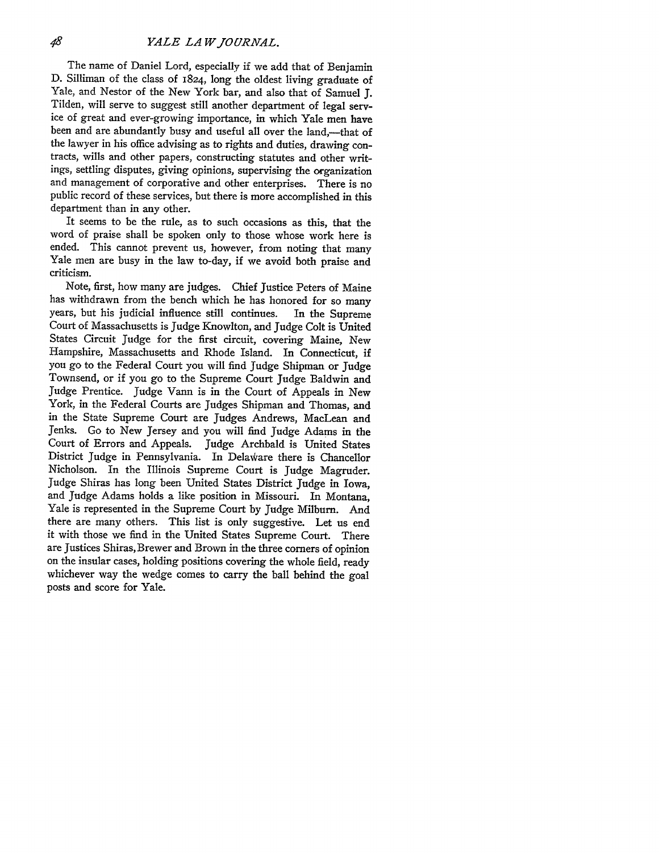The name of Daniel Lord, especially if we add that of Benjamin D. Silliman of the class of 1824, long the oldest living graduate of Yale, and Nestor of the New York bar, and also that of Samuel J. Tilden, will serve to suggest still another department of legal service of great and ever-growing importance, in which Yale men have been and are abundantly busy and useful all over the land,-that of the lawyer in his office advising as to rights and duties, drawing contracts, wills and other papers, constructing statutes and other writings, settling disputes, giving opinions, supervising the organization and management of corporative and other enterprises. There is no public record of these services, but there is more accomplished in this department than in any other.

It seems to be the rule, as to such occasions as this, that the word of praise shall be spoken only to those whose work here is ended. This cannot prevent us, however, from noting that many Yale men are busy in the law to-day, if we avoid both praise and criticism.

Note, first, how many are judges. Chief Justice Peters of Maine has withdrawn from the bench which he has honored for so many years, but his judicial influence still continues. In the Supreme Court of Massachusetts is Judge Knowlton, and Judge Colt is United States Circuit Judge for the first circuit, covering Maine, New Hampshire, Massachusetts and Rhode Island. In Connecticut, if you go to the Federal Court you will find Judge Shipman or Judge Townsend, or if you go to the Supreme Court Judge Baldwin and Judge Prentice. Judge Vann is in the Court of Appeals in New York, in the Federal Courts are Judges Shipman and Thomas, and in the State Supreme Court are Judges Andrews, MacLean and Jenks. Go to New Jersey and you will find Judge Adams in the Court of Errors and Appeals. Judge Archbald is United States District Judge in Pennsylvania. In Delaware there is Chancellor Nicholson. In the Illinois Supreme Court is Judge Magruder. Judge Shiras has long been United States District Judge in Iowa, and Judge Adams holds a like position in Missouri. In Montana, Yale is represented in the Supreme Court by Judge Milburn. And there are many others. This list is only suggestive. Let us end it with those we find in the United States Supreme Court. There are Justices Shiras, Brewer and Brown in the three corners of opinion on the insular cases, holding positions covering the whole field, ready whichever way the wedge comes to carry the ball behind the goal posts and score for Yale.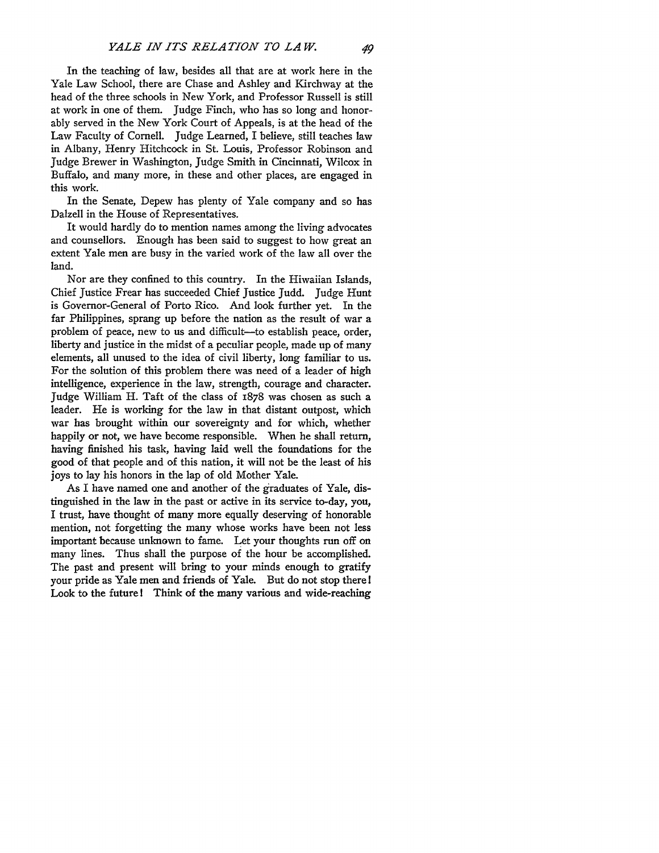In the teaching of law, besides all that are at work here in the Yale Law School, there are Chase and Ashley and Kirchway at the head of the three schools in New York, and Professor Russell is still at work in one of them. Judge Finch, who has so long and honorably served in the New York Court of Appeals, is at the head of the Law Faculty of Cornell. Judge Learned, I believe, still teaches law in Albany, Henry Hitchcock in St. Louis, Professor Robinson and Judge Brewer in Washington, Judge Smith in Cincinnati, Wilcox in Buffalo, and many more, in these and other places, are engaged in this work.

In the Senate, Depew has plenty of Yale company and so has Dalzell in the House of Representatives.

It would hardly do to mention names among the living advocates and counsellors. Enough has been said to suggest to how great an extent Yale men are busy in the varied work of the law all over the land.

Nor are they confined to this country. In the Hiwaiian Islands, Chief Justice Frear has succeeded Chief Justice Judd. Judge Hunt is Governor-General of Porto Rico. And look further yet. In the far Philippines, sprang up before the nation as the result of war a problem of peace, new to us and difficult--to establish peace, order, liberty and justice in the midst of a peculiar people, made up of many elements, all unused to the idea of civil liberty, long familiar to us. For the solution of this problem there was need of a leader of high intelligence, experience in the law, strength, courage and character. Judge William H. Taft of the class of 1878 was chosen as such a leader. He is working for the law in that distant outpost, which war has brought within our sovereignty and for which, whether happily or not, we have become responsible. When he shall return, having finished his task, having laid well the foundations for the good of that people and of this nation, it will not be the least of his joys to lay his honors in the lap of old Mother Yale.

As I have named one and another of the graduates of Yale, distinguished in the law in the past or active in its service to-day, you, I trust, have thought of many more equally deserving of honorable mention, not forgetting the many whose works have been not less important because unknown to fame. Let your thoughts run off on many lines. Thus shall the purpose of the hour be accomplished. The past and present will bring to your minds enough to gratify your pride as Yale men and friends of Yale. But do not stop there ! Look to the future! Think of the many various and wide-reaching